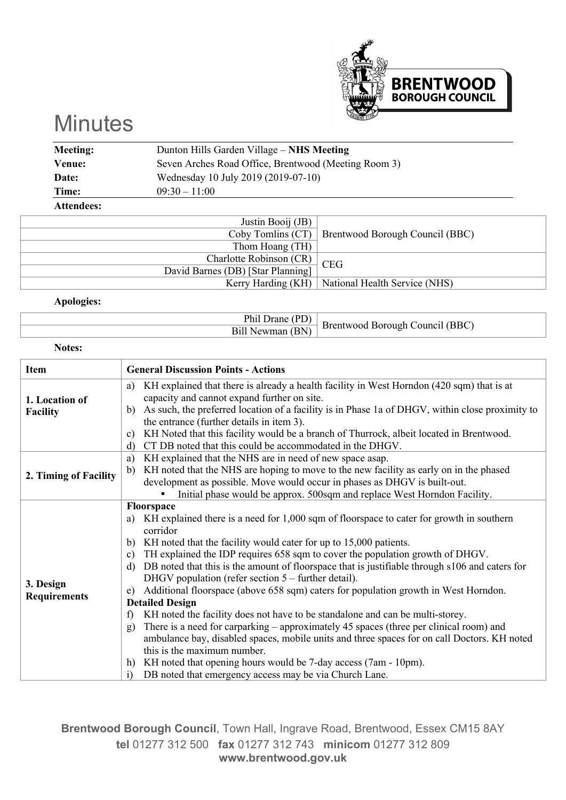

## **Minutes**

| Meeting:          | Dunton Hills Garden Village – NHS Meeting            |
|-------------------|------------------------------------------------------|
| Venue:            | Seven Arches Road Office, Brentwood (Meeting Room 3) |
| Date:             | Wednesday 10 July 2019 (2019-07-10)                  |
| Time:             | $09:30 - 11:00$                                      |
| <b>Attendees:</b> |                                                      |

| Justin Booij (JB)                 |                                                     |
|-----------------------------------|-----------------------------------------------------|
|                                   | Coby Tomlins (CT)   Brentwood Borough Council (BBC) |
| Thom Hoang (TH)                   |                                                     |
| Charlotte Robinson (CR) CEG       |                                                     |
| David Barnes (DB) [Star Planning] |                                                     |
|                                   | Kerry Harding (KH)   National Health Service (NHS)  |

## **Apologies:**

| ւհո<br>1.402.40 | (BBC)<br>്വുമലി<br>Rorough |
|-----------------|----------------------------|
|                 | Нr<br>ുറവ<br>$\mathbf{L}$  |
|                 |                            |

## **Notes:**

| <b>Item</b>                       | <b>General Discussion Points - Actions</b>                                                                                                                                                                                                                                                                                                                                                                                                                                                                                                                                                                                                                                                                                                                                                                                                                                                                                                                                                                                                                              |
|-----------------------------------|-------------------------------------------------------------------------------------------------------------------------------------------------------------------------------------------------------------------------------------------------------------------------------------------------------------------------------------------------------------------------------------------------------------------------------------------------------------------------------------------------------------------------------------------------------------------------------------------------------------------------------------------------------------------------------------------------------------------------------------------------------------------------------------------------------------------------------------------------------------------------------------------------------------------------------------------------------------------------------------------------------------------------------------------------------------------------|
| 1. Location of<br><b>Facility</b> | KH explained that there is already a health facility in West Horndon (420 sqm) that is at<br>a)<br>capacity and cannot expand further on site.<br>As such, the preferred location of a facility is in Phase 1a of DHGV, within close proximity to<br>b)<br>the entrance (further details in item 3).<br>KH Noted that this facility would be a branch of Thurrock, albeit located in Brentwood.<br>$\mathbf{c}$<br>CT DB noted that this could be accommodated in the DHGV.<br>d)                                                                                                                                                                                                                                                                                                                                                                                                                                                                                                                                                                                       |
| 2. Timing of Facility             | KH explained that the NHS are in need of new space asap.<br>a)<br>KH noted that the NHS are hoping to move to the new facility as early on in the phased<br>b)<br>development as possible. Move would occur in phases as DHGV is built-out.<br>Initial phase would be approx. 500sqm and replace West Horndon Facility.                                                                                                                                                                                                                                                                                                                                                                                                                                                                                                                                                                                                                                                                                                                                                 |
| 3. Design<br><b>Requirements</b>  | Floorspace<br>KH explained there is a need for 1,000 sqm of floorspace to cater for growth in southern<br>a)<br>corridor<br>KH noted that the facility would cater for up to 15,000 patients.<br>b)<br>TH explained the IDP requires 658 sqm to cover the population growth of DHGV.<br>$\mathbf{c}$<br>DB noted that this is the amount of floorspace that is justifiable through s106 and caters for<br>d)<br>DHGV population (refer section $5$ – further detail).<br>Additional floorspace (above 658 sqm) caters for population growth in West Horndon.<br>e)<br><b>Detailed Design</b><br>KH noted the facility does not have to be standalone and can be multi-storey.<br>f<br>There is a need for carparking $-$ approximately 45 spaces (three per clinical room) and<br>g)<br>ambulance bay, disabled spaces, mobile units and three spaces for on call Doctors. KH noted<br>this is the maximum number.<br>KH noted that opening hours would be 7-day access (7am - 10pm).<br>h)<br>DB noted that emergency access may be via Church Lane.<br>$\overline{1}$ |

**Brentwood Borough Council**, Town Hall, Ingrave Road, Brentwood, Essex CM15 8AY **tel** 01277 312 500 **fax** 01277 312 743 **minicom** 01277 312 809 **www.brentwood.gov.uk**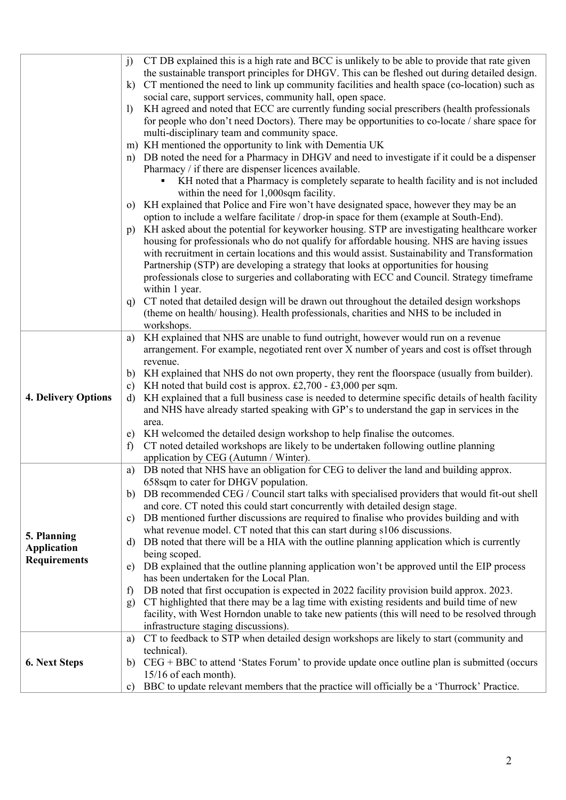|                                           | CT DB explained this is a high rate and BCC is unlikely to be able to provide that rate given<br>j)             |
|-------------------------------------------|-----------------------------------------------------------------------------------------------------------------|
|                                           | the sustainable transport principles for DHGV. This can be fleshed out during detailed design.                  |
|                                           | CT mentioned the need to link up community facilities and health space (co-location) such as<br>k)              |
|                                           | social care, support services, community hall, open space.                                                      |
|                                           | KH agreed and noted that ECC are currently funding social prescribers (health professionals<br>$\left  \right $ |
|                                           | for people who don't need Doctors). There may be opportunities to co-locate / share space for                   |
|                                           | multi-disciplinary team and community space.                                                                    |
|                                           | m) KH mentioned the opportunity to link with Dementia UK                                                        |
|                                           | n) DB noted the need for a Pharmacy in DHGV and need to investigate if it could be a dispenser                  |
|                                           | Pharmacy / if there are dispenser licences available.                                                           |
|                                           | KH noted that a Pharmacy is completely separate to health facility and is not included                          |
|                                           | within the need for 1,000sqm facility.                                                                          |
|                                           | o) KH explained that Police and Fire won't have designated space, however they may be an                        |
|                                           | option to include a welfare facilitate / drop-in space for them (example at South-End).                         |
|                                           | KH asked about the potential for keyworker housing. STP are investigating healthcare worker<br>p)               |
|                                           | housing for professionals who do not qualify for affordable housing. NHS are having issues                      |
|                                           | with recruitment in certain locations and this would assist. Sustainability and Transformation                  |
|                                           | Partnership (STP) are developing a strategy that looks at opportunities for housing                             |
|                                           | professionals close to surgeries and collaborating with ECC and Council. Strategy timeframe                     |
|                                           | within 1 year.                                                                                                  |
|                                           | CT noted that detailed design will be drawn out throughout the detailed design workshops<br>q)                  |
|                                           | (theme on health/housing). Health professionals, charities and NHS to be included in                            |
|                                           | workshops.                                                                                                      |
|                                           | KH explained that NHS are unable to fund outright, however would run on a revenue<br>a)                         |
|                                           | arrangement. For example, negotiated rent over X number of years and cost is offset through                     |
|                                           | revenue.                                                                                                        |
|                                           | KH explained that NHS do not own property, they rent the floorspace (usually from builder).<br>b)               |
|                                           | KH noted that build cost is approx. £2,700 - £3,000 per sqm.<br>c)                                              |
| <b>4. Delivery Options</b>                | KH explained that a full business case is needed to determine specific details of health facility<br>d)         |
|                                           | and NHS have already started speaking with GP's to understand the gap in services in the                        |
|                                           | area.                                                                                                           |
|                                           | KH welcomed the detailed design workshop to help finalise the outcomes.<br>e)                                   |
|                                           | CT noted detailed workshops are likely to be undertaken following outline planning<br>$\mathbf{f}$              |
|                                           | application by CEG (Autumn / Winter).                                                                           |
|                                           | DB noted that NHS have an obligation for CEG to deliver the land and building approx.<br>a)                     |
|                                           | 658sqm to cater for DHGV population.                                                                            |
|                                           | DB recommended CEG / Council start talks with specialised providers that would fit-out shell<br>b)              |
|                                           | and core. CT noted this could start concurrently with detailed design stage.                                    |
|                                           | DB mentioned further discussions are required to finalise who provides building and with<br>C)                  |
|                                           | what revenue model. CT noted that this can start during s106 discussions.                                       |
| 5. Planning                               | DB noted that there will be a HIA with the outline planning application which is currently<br>d)                |
| <b>Application</b><br><b>Requirements</b> | being scoped.                                                                                                   |
|                                           | DB explained that the outline planning application won't be approved until the EIP process<br>e)                |
|                                           | has been undertaken for the Local Plan.                                                                         |
|                                           | DB noted that first occupation is expected in 2022 facility provision build approx. 2023.<br>$\mathbf{f}$       |
|                                           | CT highlighted that there may be a lag time with existing residents and build time of new<br>$\mathbf{g}$       |
|                                           | facility, with West Horndon unable to take new patients (this will need to be resolved through                  |
|                                           | infrastructure staging discussions).                                                                            |
|                                           | CT to feedback to STP when detailed design workshops are likely to start (community and<br>a)                   |
|                                           | technical).                                                                                                     |
| 6. Next Steps                             | $CEG + BBC$ to attend 'States Forum' to provide update once outline plan is submitted (occurs<br>b)             |
|                                           | 15/16 of each month).                                                                                           |
|                                           | BBC to update relevant members that the practice will officially be a 'Thurrock' Practice.<br>c)                |